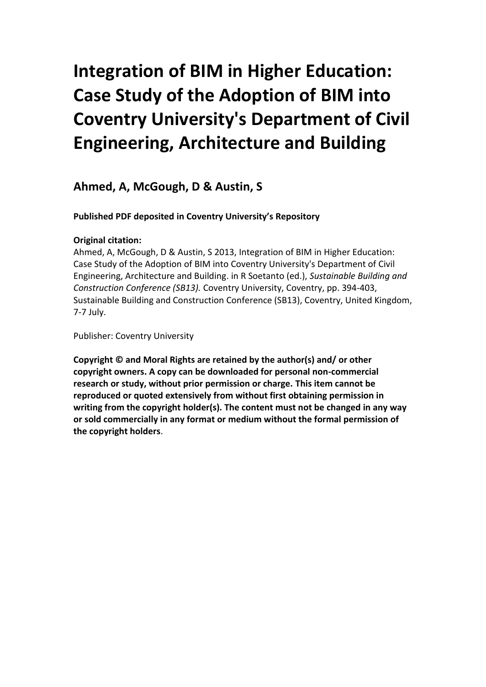# **Integration of BIM in Higher Education: Case Study of the Adoption of BIM into Coventry University's Department of Civil Engineering, Architecture and Building**

# **Ahmed, A, McGough, D & Austin, S**

## **Published PDF deposited in Coventry University's Repository**

## **Original citation:**

Ahmed, A, McGough, D & Austin, S 2013, Integration of BIM in Higher Education: Case Study of the Adoption of BIM into Coventry University's Department of Civil Engineering, Architecture and Building. in R Soetanto (ed.), *Sustainable Building and Construction Conference (SB13).* Coventry University, Coventry, pp. 394-403, Sustainable Building and Construction Conference (SB13), Coventry, United Kingdom, 7-7 July.

Publisher: Coventry University

**Copyright © and Moral Rights are retained by the author(s) and/ or other copyright owners. A copy can be downloaded for personal non-commercial research or study, without prior permission or charge. This item cannot be reproduced or quoted extensively from without first obtaining permission in writing from the copyright holder(s). The content must not be changed in any way or sold commercially in any format or medium without the formal permission of the copyright holders**.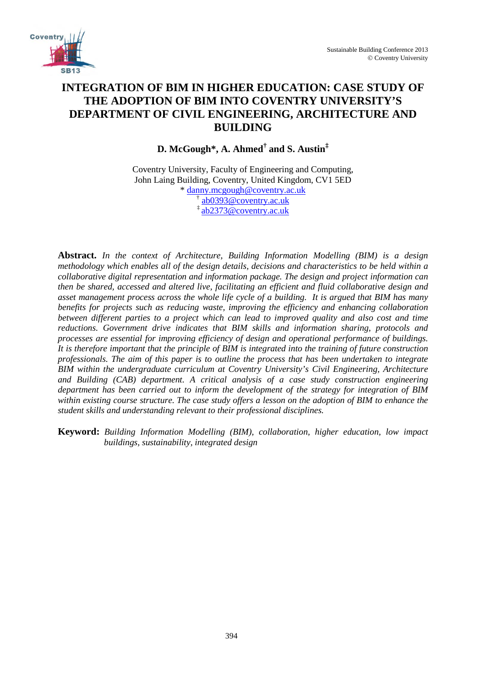

# **INTEGRATION OF BIM IN HIGHER EDUCATION: CASE STUDY OF THE ADOPTION OF BIM INTO COVENTRY UNIVERSITY'S DEPARTMENT OF CIVIL ENGINEERING, ARCHITECTURE AND BUILDING**

**D. McGough\*, A. Ahmed† and S. Austin‡**

Coventry University, Faculty of Engineering and Computing, John Laing Building, Coventry, United Kingdom, CV1 5ED \* [danny.mcgough@coventry.ac.uk](mailto:danny.mcgough@coventry.ac.uk) † [ab0393@coventry.ac.uk](mailto:n.stothers@coventry.ac.uk) [‡ ab2373@coventry.ac.uk](mailto:n.stothers@coventry.ac.uk)

**Abstract.** *In the context of Architecture, Building Information Modelling (BIM) is a design methodology which enables all of the design details, decisions and characteristics to be held within a collaborative digital representation and information package. The design and project information can then be shared, accessed and altered live, facilitating an efficient and fluid collaborative design and asset management process across the whole life cycle of a building. It is argued that BIM has many benefits for projects such as reducing waste, improving the efficiency and enhancing collaboration between different parties to a project which can lead to improved quality and also cost and time reductions. Government drive indicates that BIM skills and information sharing, protocols and processes are essential for improving efficiency of design and operational performance of buildings. It is therefore important that the principle of BIM is integrated into the training of future construction professionals. The aim of this paper is to outline the process that has been undertaken to integrate BIM within the undergraduate curriculum at Coventry University's Civil Engineering, Architecture and Building (CAB) department. A critical analysis of a case study construction engineering department has been carried out to inform the development of the strategy for integration of BIM within existing course structure. The case study offers a lesson on the adoption of BIM to enhance the student skills and understanding relevant to their professional disciplines.*

**Keyword:** *Building Information Modelling (BIM), collaboration, higher education, low impact buildings, sustainability, integrated design*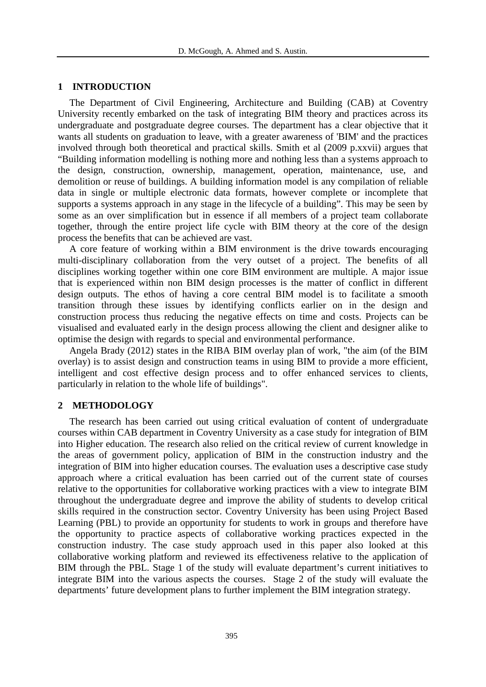#### **1 INTRODUCTION**

The Department of Civil Engineering, Architecture and Building (CAB) at Coventry University recently embarked on the task of integrating BIM theory and practices across its undergraduate and postgraduate degree courses. The department has a clear objective that it wants all students on graduation to leave, with a greater awareness of 'BIM' and the practices involved through both theoretical and practical skills. Smith et al (2009 p.xxvii) argues that "Building information modelling is nothing more and nothing less than a systems approach to the design, construction, ownership, management, operation, maintenance, use, and demolition or reuse of buildings. A building information model is any compilation of reliable data in single or multiple electronic data formats, however complete or incomplete that supports a systems approach in any stage in the lifecycle of a building". This may be seen by some as an over simplification but in essence if all members of a project team collaborate together, through the entire project life cycle with BIM theory at the core of the design process the benefits that can be achieved are vast.

A core feature of working within a BIM environment is the drive towards encouraging multi-disciplinary collaboration from the very outset of a project. The benefits of all disciplines working together within one core BIM environment are multiple. A major issue that is experienced within non BIM design processes is the matter of conflict in different design outputs. The ethos of having a core central BIM model is to facilitate a smooth transition through these issues by identifying conflicts earlier on in the design and construction process thus reducing the negative effects on time and costs. Projects can be visualised and evaluated early in the design process allowing the client and designer alike to optimise the design with regards to special and environmental performance.

Angela Brady (2012) states in the RIBA BIM overlay plan of work, "the aim (of the BIM overlay) is to assist design and construction teams in using BIM to provide a more efficient, intelligent and cost effective design process and to offer enhanced services to clients, particularly in relation to the whole life of buildings".

#### **2 METHODOLOGY**

The research has been carried out using critical evaluation of content of undergraduate courses within CAB department in Coventry University as a case study for integration of BIM into Higher education. The research also relied on the critical review of current knowledge in the areas of government policy, application of BIM in the construction industry and the integration of BIM into higher education courses. The evaluation uses a descriptive case study approach where a critical evaluation has been carried out of the current state of courses relative to the opportunities for collaborative working practices with a view to integrate BIM throughout the undergraduate degree and improve the ability of students to develop critical skills required in the construction sector. Coventry University has been using Project Based Learning (PBL) to provide an opportunity for students to work in groups and therefore have the opportunity to practice aspects of collaborative working practices expected in the construction industry. The case study approach used in this paper also looked at this collaborative working platform and reviewed its effectiveness relative to the application of BIM through the PBL. Stage 1 of the study will evaluate department's current initiatives to integrate BIM into the various aspects the courses. Stage 2 of the study will evaluate the departments' future development plans to further implement the BIM integration strategy.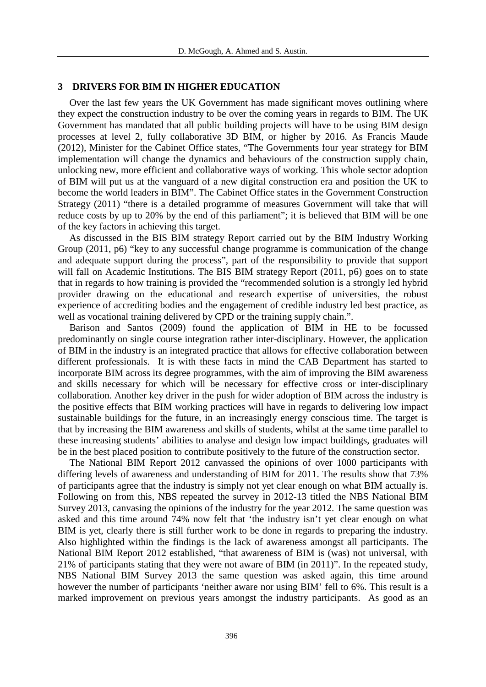#### **3 DRIVERS FOR BIM IN HIGHER EDUCATION**

Over the last few years the UK Government has made significant moves outlining where they expect the construction industry to be over the coming years in regards to BIM. The UK Government has mandated that all public building projects will have to be using BIM design processes at level 2, fully collaborative 3D BIM, or higher by 2016. As Francis Maude (2012), Minister for the Cabinet Office states, "The Governments four year strategy for BIM implementation will change the dynamics and behaviours of the construction supply chain, unlocking new, more efficient and collaborative ways of working. This whole sector adoption of BIM will put us at the vanguard of a new digital construction era and position the UK to become the world leaders in BIM". The Cabinet Office states in the Government Construction Strategy (2011) "there is a detailed programme of measures Government will take that will reduce costs by up to 20% by the end of this parliament"; it is believed that BIM will be one of the key factors in achieving this target.

As discussed in the BIS BIM strategy Report carried out by the BIM Industry Working Group (2011, p6) "key to any successful change programme is communication of the change and adequate support during the process", part of the responsibility to provide that support will fall on Academic Institutions. The BIS BIM strategy Report (2011, p6) goes on to state that in regards to how training is provided the "recommended solution is a strongly led hybrid provider drawing on the educational and research expertise of universities, the robust experience of accrediting bodies and the engagement of credible industry led best practice, as well as vocational training delivered by CPD or the training supply chain.".

Barison and Santos (2009) found the application of BIM in HE to be focussed predominantly on single course integration rather inter-disciplinary. However, the application of BIM in the industry is an integrated practice that allows for effective collaboration between different professionals. It is with these facts in mind the CAB Department has started to incorporate BIM across its degree programmes, with the aim of improving the BIM awareness and skills necessary for which will be necessary for effective cross or inter-disciplinary collaboration. Another key driver in the push for wider adoption of BIM across the industry is the positive effects that BIM working practices will have in regards to delivering low impact sustainable buildings for the future, in an increasingly energy conscious time. The target is that by increasing the BIM awareness and skills of students, whilst at the same time parallel to these increasing students' abilities to analyse and design low impact buildings, graduates will be in the best placed position to contribute positively to the future of the construction sector.

The National BIM Report 2012 canvassed the opinions of over 1000 participants with differing levels of awareness and understanding of BIM for 2011. The results show that 73% of participants agree that the industry is simply not yet clear enough on what BIM actually is. Following on from this, NBS repeated the survey in 2012-13 titled the NBS National BIM Survey 2013, canvasing the opinions of the industry for the year 2012. The same question was asked and this time around 74% now felt that 'the industry isn't yet clear enough on what BIM is yet, clearly there is still further work to be done in regards to preparing the industry. Also highlighted within the findings is the lack of awareness amongst all participants. The National BIM Report 2012 established, "that awareness of BIM is (was) not universal, with 21% of participants stating that they were not aware of BIM (in 2011)". In the repeated study, NBS National BIM Survey 2013 the same question was asked again, this time around however the number of participants 'neither aware nor using BIM' fell to 6%. This result is a marked improvement on previous years amongst the industry participants. As good as an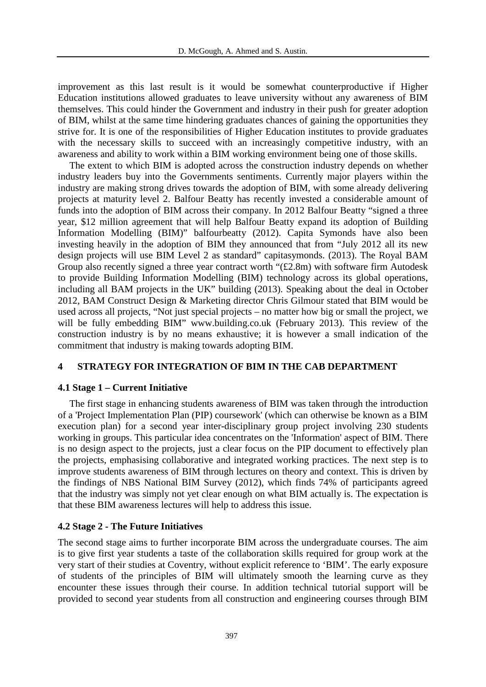improvement as this last result is it would be somewhat counterproductive if Higher Education institutions allowed graduates to leave university without any awareness of BIM themselves. This could hinder the Government and industry in their push for greater adoption of BIM, whilst at the same time hindering graduates chances of gaining the opportunities they strive for. It is one of the responsibilities of Higher Education institutes to provide graduates with the necessary skills to succeed with an increasingly competitive industry, with an awareness and ability to work within a BIM working environment being one of those skills.

The extent to which BIM is adopted across the construction industry depends on whether industry leaders buy into the Governments sentiments. Currently major players within the industry are making strong drives towards the adoption of BIM, with some already delivering projects at maturity level 2. Balfour Beatty has recently invested a considerable amount of funds into the adoption of BIM across their company. In 2012 Balfour Beatty "signed a three year, \$12 million agreement that will help Balfour Beatty expand its adoption of Building Information Modelling (BIM)" balfourbeatty (2012). Capita Symonds have also been investing heavily in the adoption of BIM they announced that from "July 2012 all its new design projects will use BIM Level 2 as standard" capitasymonds. (2013). The Royal BAM Group also recently signed a three year contract worth "(£2.8m) with software firm Autodesk to provide Building Information Modelling (BIM) technology across its global operations, including all BAM projects in the UK" building (2013). Speaking about the deal in October 2012, BAM Construct Design & Marketing director Chris Gilmour stated that BIM would be used across all projects, "Not just special projects – no matter how big or small the project, we will be fully embedding BIM" www.building.co.uk (February 2013). This review of the construction industry is by no means exhaustive; it is however a small indication of the commitment that industry is making towards adopting BIM.

#### **4 STRATEGY FOR INTEGRATION OF BIM IN THE CAB DEPARTMENT**

#### **4.1 Stage 1 – Current Initiative**

The first stage in enhancing students awareness of BIM was taken through the introduction of a 'Project Implementation Plan (PIP) coursework' (which can otherwise be known as a BIM execution plan) for a second year inter-disciplinary group project involving 230 students working in groups. This particular idea concentrates on the 'Information' aspect of BIM. There is no design aspect to the projects, just a clear focus on the PIP document to effectively plan the projects, emphasising collaborative and integrated working practices. The next step is to improve students awareness of BIM through lectures on theory and context. This is driven by the findings of NBS National BIM Survey (2012), which finds 74% of participants agreed that the industry was simply not yet clear enough on what BIM actually is. The expectation is that these BIM awareness lectures will help to address this issue.

#### **4.2 Stage 2 - The Future Initiatives**

The second stage aims to further incorporate BIM across the undergraduate courses. The aim is to give first year students a taste of the collaboration skills required for group work at the very start of their studies at Coventry, without explicit reference to 'BIM'. The early exposure of students of the principles of BIM will ultimately smooth the learning curve as they encounter these issues through their course. In addition technical tutorial support will be provided to second year students from all construction and engineering courses through BIM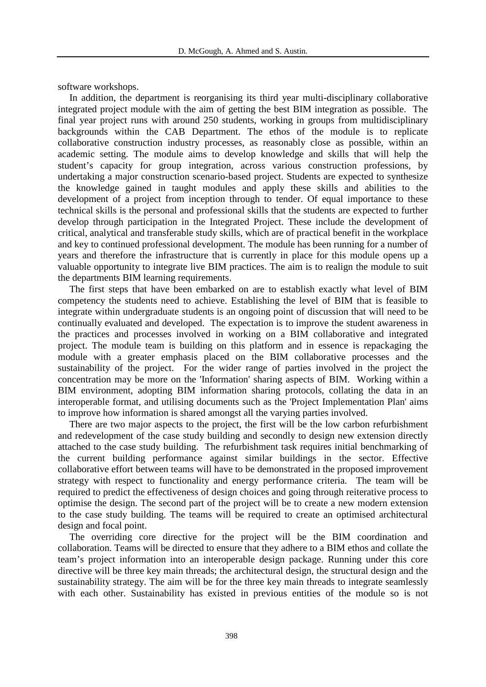software workshops.

In addition, the department is reorganising its third year multi-disciplinary collaborative integrated project module with the aim of getting the best BIM integration as possible. The final year project runs with around 250 students, working in groups from multidisciplinary backgrounds within the CAB Department. The ethos of the module is to replicate collaborative construction industry processes, as reasonably close as possible, within an academic setting. The module aims to develop knowledge and skills that will help the student's capacity for group integration, across various construction professions, by undertaking a major construction scenario-based project. Students are expected to synthesize the knowledge gained in taught modules and apply these skills and abilities to the development of a project from inception through to tender. Of equal importance to these technical skills is the personal and professional skills that the students are expected to further develop through participation in the Integrated Project. These include the development of critical, analytical and transferable study skills, which are of practical benefit in the workplace and key to continued professional development. The module has been running for a number of years and therefore the infrastructure that is currently in place for this module opens up a valuable opportunity to integrate live BIM practices. The aim is to realign the module to suit the departments BIM learning requirements.

The first steps that have been embarked on are to establish exactly what level of BIM competency the students need to achieve. Establishing the level of BIM that is feasible to integrate within undergraduate students is an ongoing point of discussion that will need to be continually evaluated and developed. The expectation is to improve the student awareness in the practices and processes involved in working on a BIM collaborative and integrated project. The module team is building on this platform and in essence is repackaging the module with a greater emphasis placed on the BIM collaborative processes and the sustainability of the project. For the wider range of parties involved in the project the concentration may be more on the 'Information' sharing aspects of BIM. Working within a BIM environment, adopting BIM information sharing protocols, collating the data in an interoperable format, and utilising documents such as the 'Project Implementation Plan' aims to improve how information is shared amongst all the varying parties involved.

There are two major aspects to the project, the first will be the low carbon refurbishment and redevelopment of the case study building and secondly to design new extension directly attached to the case study building. The refurbishment task requires initial benchmarking of the current building performance against similar buildings in the sector. Effective collaborative effort between teams will have to be demonstrated in the proposed improvement strategy with respect to functionality and energy performance criteria. The team will be required to predict the effectiveness of design choices and going through reiterative process to optimise the design. The second part of the project will be to create a new modern extension to the case study building. The teams will be required to create an optimised architectural design and focal point.

The overriding core directive for the project will be the BIM coordination and collaboration. Teams will be directed to ensure that they adhere to a BIM ethos and collate the team's project information into an interoperable design package. Running under this core directive will be three key main threads; the architectural design, the structural design and the sustainability strategy. The aim will be for the three key main threads to integrate seamlessly with each other. Sustainability has existed in previous entities of the module so is not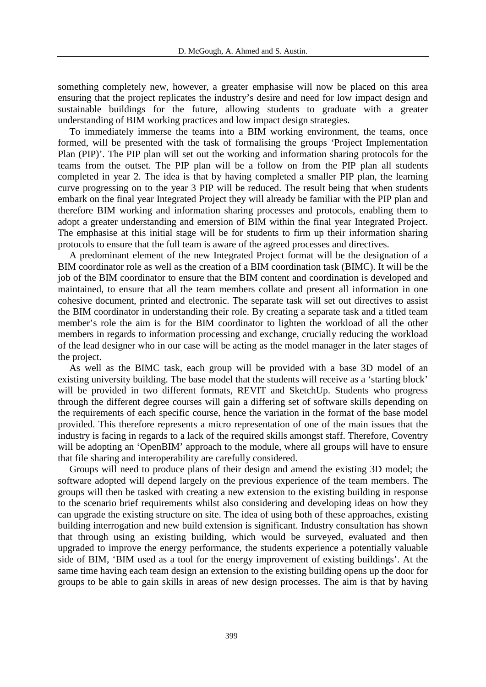something completely new, however, a greater emphasise will now be placed on this area ensuring that the project replicates the industry's desire and need for low impact design and sustainable buildings for the future, allowing students to graduate with a greater understanding of BIM working practices and low impact design strategies.

To immediately immerse the teams into a BIM working environment, the teams, once formed, will be presented with the task of formalising the groups 'Project Implementation Plan (PIP)'. The PIP plan will set out the working and information sharing protocols for the teams from the outset. The PIP plan will be a follow on from the PIP plan all students completed in year 2. The idea is that by having completed a smaller PIP plan, the learning curve progressing on to the year 3 PIP will be reduced. The result being that when students embark on the final year Integrated Project they will already be familiar with the PIP plan and therefore BIM working and information sharing processes and protocols, enabling them to adopt a greater understanding and emersion of BIM within the final year Integrated Project. The emphasise at this initial stage will be for students to firm up their information sharing protocols to ensure that the full team is aware of the agreed processes and directives.

A predominant element of the new Integrated Project format will be the designation of a BIM coordinator role as well as the creation of a BIM coordination task (BIMC). It will be the job of the BIM coordinator to ensure that the BIM content and coordination is developed and maintained, to ensure that all the team members collate and present all information in one cohesive document, printed and electronic. The separate task will set out directives to assist the BIM coordinator in understanding their role. By creating a separate task and a titled team member's role the aim is for the BIM coordinator to lighten the workload of all the other members in regards to information processing and exchange, crucially reducing the workload of the lead designer who in our case will be acting as the model manager in the later stages of the project.

As well as the BIMC task, each group will be provided with a base 3D model of an existing university building. The base model that the students will receive as a 'starting block' will be provided in two different formats, REVIT and SketchUp. Students who progress through the different degree courses will gain a differing set of software skills depending on the requirements of each specific course, hence the variation in the format of the base model provided. This therefore represents a micro representation of one of the main issues that the industry is facing in regards to a lack of the required skills amongst staff. Therefore, Coventry will be adopting an 'OpenBIM' approach to the module, where all groups will have to ensure that file sharing and interoperability are carefully considered.

Groups will need to produce plans of their design and amend the existing 3D model; the software adopted will depend largely on the previous experience of the team members. The groups will then be tasked with creating a new extension to the existing building in response to the scenario brief requirements whilst also considering and developing ideas on how they can upgrade the existing structure on site. The idea of using both of these approaches, existing building interrogation and new build extension is significant. Industry consultation has shown that through using an existing building, which would be surveyed, evaluated and then upgraded to improve the energy performance, the students experience a potentially valuable side of BIM, 'BIM used as a tool for the energy improvement of existing buildings'. At the same time having each team design an extension to the existing building opens up the door for groups to be able to gain skills in areas of new design processes. The aim is that by having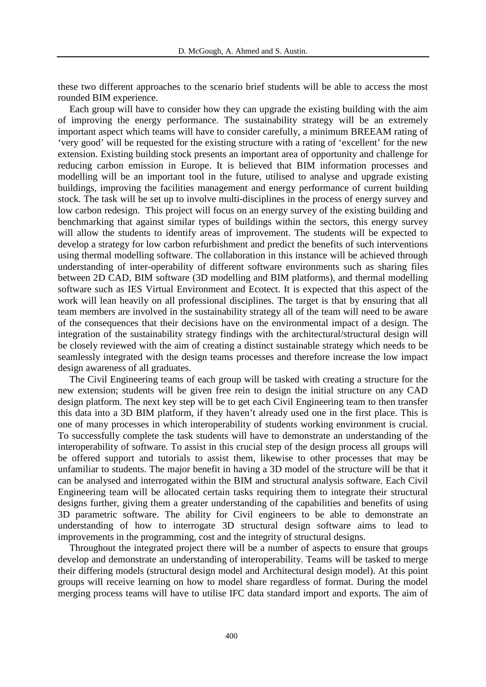these two different approaches to the scenario brief students will be able to access the most rounded BIM experience.

Each group will have to consider how they can upgrade the existing building with the aim of improving the energy performance. The sustainability strategy will be an extremely important aspect which teams will have to consider carefully, a minimum BREEAM rating of 'very good' will be requested for the existing structure with a rating of 'excellent' for the new extension. Existing building stock presents an important area of opportunity and challenge for reducing carbon emission in Europe. It is believed that BIM information processes and modelling will be an important tool in the future, utilised to analyse and upgrade existing buildings, improving the facilities management and energy performance of current building stock. The task will be set up to involve multi-disciplines in the process of energy survey and low carbon redesign. This project will focus on an energy survey of the existing building and benchmarking that against similar types of buildings within the sectors, this energy survey will allow the students to identify areas of improvement. The students will be expected to develop a strategy for low carbon refurbishment and predict the benefits of such interventions using thermal modelling software. The collaboration in this instance will be achieved through understanding of inter-operability of different software environments such as sharing files between 2D CAD, BIM software (3D modelling and BIM platforms), and thermal modelling software such as IES Virtual Environment and Ecotect. It is expected that this aspect of the work will lean heavily on all professional disciplines. The target is that by ensuring that all team members are involved in the sustainability strategy all of the team will need to be aware of the consequences that their decisions have on the environmental impact of a design. The integration of the sustainability strategy findings with the architectural/structural design will be closely reviewed with the aim of creating a distinct sustainable strategy which needs to be seamlessly integrated with the design teams processes and therefore increase the low impact design awareness of all graduates.

The Civil Engineering teams of each group will be tasked with creating a structure for the new extension; students will be given free rein to design the initial structure on any CAD design platform. The next key step will be to get each Civil Engineering team to then transfer this data into a 3D BIM platform, if they haven't already used one in the first place. This is one of many processes in which interoperability of students working environment is crucial. To successfully complete the task students will have to demonstrate an understanding of the interoperability of software. To assist in this crucial step of the design process all groups will be offered support and tutorials to assist them, likewise to other processes that may be unfamiliar to students. The major benefit in having a 3D model of the structure will be that it can be analysed and interrogated within the BIM and structural analysis software. Each Civil Engineering team will be allocated certain tasks requiring them to integrate their structural designs further, giving them a greater understanding of the capabilities and benefits of using 3D parametric software. The ability for Civil engineers to be able to demonstrate an understanding of how to interrogate 3D structural design software aims to lead to improvements in the programming, cost and the integrity of structural designs.

Throughout the integrated project there will be a number of aspects to ensure that groups develop and demonstrate an understanding of interoperability. Teams will be tasked to merge their differing models (structural design model and Architectural design model). At this point groups will receive learning on how to model share regardless of format. During the model merging process teams will have to utilise IFC data standard import and exports. The aim of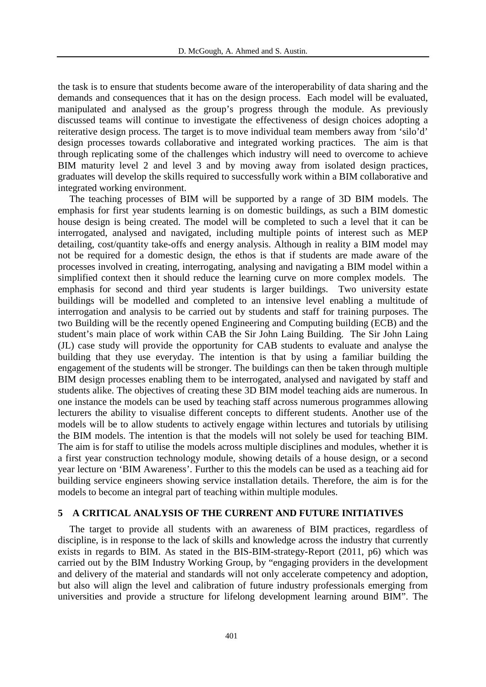the task is to ensure that students become aware of the interoperability of data sharing and the demands and consequences that it has on the design process. Each model will be evaluated, manipulated and analysed as the group's progress through the module. As previously discussed teams will continue to investigate the effectiveness of design choices adopting a reiterative design process. The target is to move individual team members away from 'silo'd' design processes towards collaborative and integrated working practices. The aim is that through replicating some of the challenges which industry will need to overcome to achieve BIM maturity level 2 and level 3 and by moving away from isolated design practices, graduates will develop the skills required to successfully work within a BIM collaborative and integrated working environment.

The teaching processes of BIM will be supported by a range of 3D BIM models. The emphasis for first year students learning is on domestic buildings, as such a BIM domestic house design is being created. The model will be completed to such a level that it can be interrogated, analysed and navigated, including multiple points of interest such as MEP detailing, cost/quantity take-offs and energy analysis. Although in reality a BIM model may not be required for a domestic design, the ethos is that if students are made aware of the processes involved in creating, interrogating, analysing and navigating a BIM model within a simplified context then it should reduce the learning curve on more complex models. The emphasis for second and third year students is larger buildings. Two university estate buildings will be modelled and completed to an intensive level enabling a multitude of interrogation and analysis to be carried out by students and staff for training purposes. The two Building will be the recently opened Engineering and Computing building (ECB) and the student's main place of work within CAB the Sir John Laing Building. The Sir John Laing (JL) case study will provide the opportunity for CAB students to evaluate and analyse the building that they use everyday. The intention is that by using a familiar building the engagement of the students will be stronger. The buildings can then be taken through multiple BIM design processes enabling them to be interrogated, analysed and navigated by staff and students alike. The objectives of creating these 3D BIM model teaching aids are numerous. In one instance the models can be used by teaching staff across numerous programmes allowing lecturers the ability to visualise different concepts to different students. Another use of the models will be to allow students to actively engage within lectures and tutorials by utilising the BIM models. The intention is that the models will not solely be used for teaching BIM. The aim is for staff to utilise the models across multiple disciplines and modules, whether it is a first year construction technology module, showing details of a house design, or a second year lecture on 'BIM Awareness'. Further to this the models can be used as a teaching aid for building service engineers showing service installation details. Therefore, the aim is for the models to become an integral part of teaching within multiple modules.

#### **5 A CRITICAL ANALYSIS OF THE CURRENT AND FUTURE INITIATIVES**

The target to provide all students with an awareness of BIM practices, regardless of discipline, is in response to the lack of skills and knowledge across the industry that currently exists in regards to BIM. As stated in the BIS-BIM-strategy-Report (2011, p6) which was carried out by the BIM Industry Working Group, by "engaging providers in the development and delivery of the material and standards will not only accelerate competency and adoption, but also will align the level and calibration of future industry professionals emerging from universities and provide a structure for lifelong development learning around BIM". The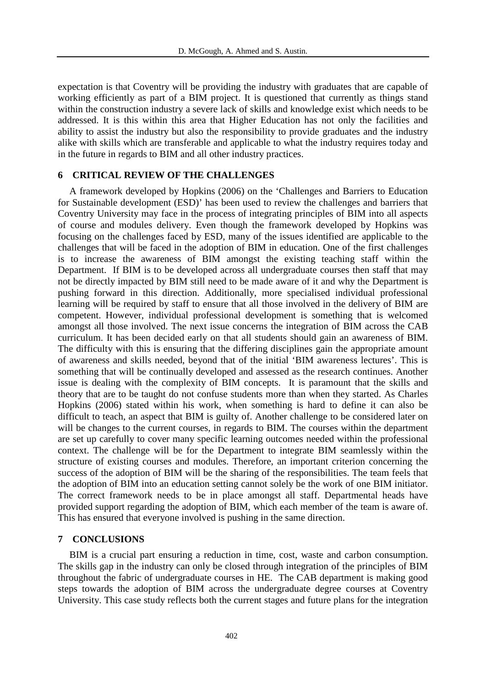expectation is that Coventry will be providing the industry with graduates that are capable of working efficiently as part of a BIM project. It is questioned that currently as things stand within the construction industry a severe lack of skills and knowledge exist which needs to be addressed. It is this within this area that Higher Education has not only the facilities and ability to assist the industry but also the responsibility to provide graduates and the industry alike with skills which are transferable and applicable to what the industry requires today and in the future in regards to BIM and all other industry practices.

### **6 CRITICAL REVIEW OF THE CHALLENGES**

A framework developed by Hopkins (2006) on the 'Challenges and Barriers to Education for Sustainable development (ESD)' has been used to review the challenges and barriers that Coventry University may face in the process of integrating principles of BIM into all aspects of course and modules delivery. Even though the framework developed by Hopkins was focusing on the challenges faced by ESD, many of the issues identified are applicable to the challenges that will be faced in the adoption of BIM in education. One of the first challenges is to increase the awareness of BIM amongst the existing teaching staff within the Department. If BIM is to be developed across all undergraduate courses then staff that may not be directly impacted by BIM still need to be made aware of it and why the Department is pushing forward in this direction. Additionally, more specialised individual professional learning will be required by staff to ensure that all those involved in the delivery of BIM are competent. However, individual professional development is something that is welcomed amongst all those involved. The next issue concerns the integration of BIM across the CAB curriculum. It has been decided early on that all students should gain an awareness of BIM. The difficulty with this is ensuring that the differing disciplines gain the appropriate amount of awareness and skills needed, beyond that of the initial 'BIM awareness lectures'. This is something that will be continually developed and assessed as the research continues. Another issue is dealing with the complexity of BIM concepts. It is paramount that the skills and theory that are to be taught do not confuse students more than when they started. As Charles Hopkins (2006) stated within his work, when something is hard to define it can also be difficult to teach, an aspect that BIM is guilty of. Another challenge to be considered later on will be changes to the current courses, in regards to BIM. The courses within the department are set up carefully to cover many specific learning outcomes needed within the professional context. The challenge will be for the Department to integrate BIM seamlessly within the structure of existing courses and modules. Therefore, an important criterion concerning the success of the adoption of BIM will be the sharing of the responsibilities. The team feels that the adoption of BIM into an education setting cannot solely be the work of one BIM initiator. The correct framework needs to be in place amongst all staff. Departmental heads have provided support regarding the adoption of BIM, which each member of the team is aware of. This has ensured that everyone involved is pushing in the same direction.

#### **7 CONCLUSIONS**

BIM is a crucial part ensuring a reduction in time, cost, waste and carbon consumption. The skills gap in the industry can only be closed through integration of the principles of BIM throughout the fabric of undergraduate courses in HE. The CAB department is making good steps towards the adoption of BIM across the undergraduate degree courses at Coventry University. This case study reflects both the current stages and future plans for the integration